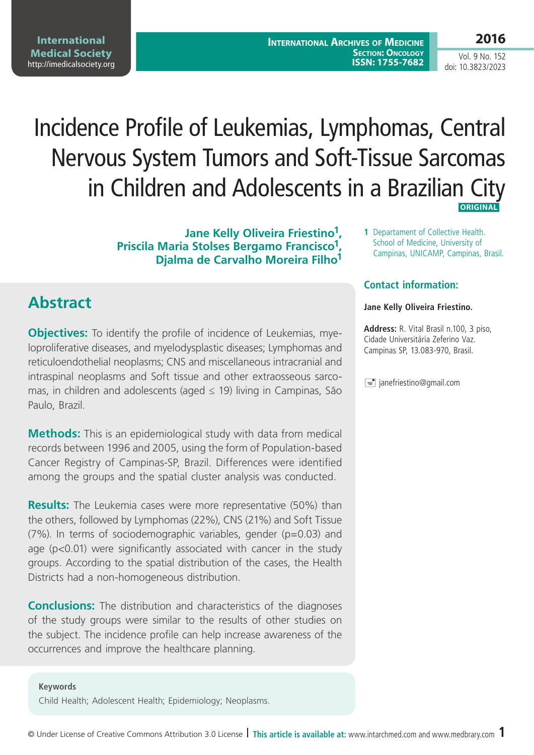**International Archives of Medicine SECTION: ONCOLOGY ISSN: 1755-7682** **2016**

Vol. 9 No. 152 doi: 10.3823/2023

# Incidence Profile of Leukemias, Lymphomas, Central Nervous System Tumors and Soft-Tissue Sarcomas in Children and Adolescents in a Brazilian City  **ORIGINAL**

**Jane Kelly Oliveira Friestino1, Priscila Maria Stolses Bergamo Francisco1, Djalma de Carvalho Moreira Filho1**

### **Abstract**

**Objectives:** To identify the profile of incidence of Leukemias, myeloproliferative diseases, and myelodysplastic diseases; Lymphomas and reticuloendothelial neoplasms; CNS and miscellaneous intracranial and intraspinal neoplasms and Soft tissue and other extraosseous sarcomas, in children and adolescents (aged  $\leq$  19) living in Campinas, São Paulo, Brazil.

**Methods:** This is an epidemiological study with data from medical records between 1996 and 2005, using the form of Population-based Cancer Registry of Campinas-SP, Brazil. Differences were identified among the groups and the spatial cluster analysis was conducted.

**Results:** The Leukemia cases were more representative (50%) than the others, followed by Lymphomas (22%), CNS (21%) and Soft Tissue (7%). In terms of sociodemographic variables, gender (p=0.03) and age (p<0.01) were significantly associated with cancer in the study groups. According to the spatial distribution of the cases, the Health Districts had a non-homogeneous distribution.

**Conclusions:** The distribution and characteristics of the diagnoses of the study groups were similar to the results of other studies on the subject. The incidence profile can help increase awareness of the occurrences and improve the healthcare planning.

**Keywords** Child Health; Adolescent Health; Epidemiology; Neoplasms. **1** Departament of Collective Health. School of Medicine, University of Campinas, UNICAMP, Campinas, Brasil.

### **Contact information:**

#### **Jane Kelly Oliveira Friestino.**

**Address:** R. Vital Brasil n.100, 3 piso, Cidade Universitária Zeferino Vaz. Campinas SP, 13.083-970, Brasil.

 $\equiv$  janefriestino@gmail.com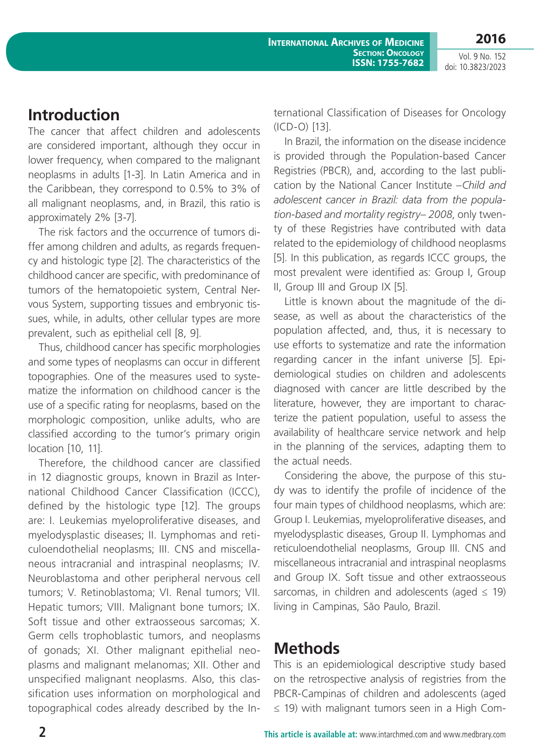**2016**

Vol. 9 No. 152 doi: 10.3823/2023

# **Introduction**

The cancer that affect children and adolescents are considered important, although they occur in lower frequency, when compared to the malignant neoplasms in adults [1-3]. In Latin America and in the Caribbean, they correspond to 0.5% to 3% of all malignant neoplasms, and, in Brazil, this ratio is approximately 2% [3-7].

The risk factors and the occurrence of tumors differ among children and adults, as regards frequency and histologic type [2]. The characteristics of the childhood cancer are specific, with predominance of tumors of the hematopoietic system, Central Nervous System, supporting tissues and embryonic tissues, while, in adults, other cellular types are more prevalent, such as epithelial cell [8, 9].

Thus, childhood cancer has specific morphologies and some types of neoplasms can occur in different topographies. One of the measures used to systematize the information on childhood cancer is the use of a specific rating for neoplasms, based on the morphologic composition, unlike adults, who are classified according to the tumor's primary origin location [10, 11].

Therefore, the childhood cancer are classified in 12 diagnostic groups, known in Brazil as International Childhood Cancer Classification (ICCC), defined by the histologic type [12]. The groups are: I. Leukemias myeloproliferative diseases, and myelodysplastic diseases; II. Lymphomas and reticuloendothelial neoplasms; III. CNS and miscellaneous intracranial and intraspinal neoplasms; IV. Neuroblastoma and other peripheral nervous cell tumors; V. Retinoblastoma; VI. Renal tumors; VII. Hepatic tumors; VIII. Malignant bone tumors; IX. Soft tissue and other extraosseous sarcomas; X. Germ cells trophoblastic tumors, and neoplasms of gonads; XI. Other malignant epithelial neoplasms and malignant melanomas; XII. Other and unspecified malignant neoplasms. Also, this classification uses information on morphological and topographical codes already described by the International Classification of Diseases for Oncology (ICD-O) [13].

In Brazil, the information on the disease incidence is provided through the Population-based Cancer Registries (PBCR), and, according to the last publication by the National Cancer Institute –*Child and adolescent cancer in Brazil: data from the population-based and mortality registry– 2008*, only twenty of these Registries have contributed with data related to the epidemiology of childhood neoplasms [5]. In this publication, as regards ICCC groups, the most prevalent were identified as: Group I, Group II, Group III and Group IX [5].

Little is known about the magnitude of the disease, as well as about the characteristics of the population affected, and, thus, it is necessary to use efforts to systematize and rate the information regarding cancer in the infant universe [5]. Epidemiological studies on children and adolescents diagnosed with cancer are little described by the literature, however, they are important to characterize the patient population, useful to assess the availability of healthcare service network and help in the planning of the services, adapting them to the actual needs.

Considering the above, the purpose of this study was to identify the profile of incidence of the four main types of childhood neoplasms, which are: Group I. Leukemias, myeloproliferative diseases, and myelodysplastic diseases, Group II. Lymphomas and reticuloendothelial neoplasms, Group III. CNS and miscellaneous intracranial and intraspinal neoplasms and Group IX. Soft tissue and other extraosseous sarcomas, in children and adolescents (aged  $\leq$  19) living in Campinas, São Paulo, Brazil.

# **Methods**

This is an epidemiological descriptive study based on the retrospective analysis of registries from the PBCR-Campinas of children and adolescents (aged ≤ 19) with malignant tumors seen in a High Com-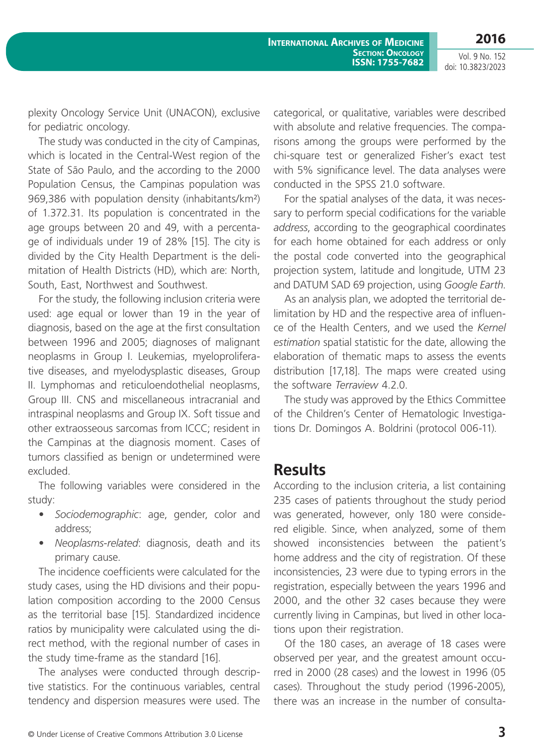Vol. 9 No. 152 doi: 10.3823/2023

plexity Oncology Service Unit (UNACON), exclusive for pediatric oncology.

The study was conducted in the city of Campinas, which is located in the Central-West region of the State of São Paulo, and the according to the 2000 Population Census, the Campinas population was 969,386 with population density (inhabitants/km²) of 1.372.31. Its population is concentrated in the age groups between 20 and 49, with a percentage of individuals under 19 of 28% [15]. The city is divided by the City Health Department is the delimitation of Health Districts (HD), which are: North, South, East, Northwest and Southwest.

For the study, the following inclusion criteria were used: age equal or lower than 19 in the year of diagnosis, based on the age at the first consultation between 1996 and 2005; diagnoses of malignant neoplasms in Group I. Leukemias, myeloproliferative diseases, and myelodysplastic diseases, Group II. Lymphomas and reticuloendothelial neoplasms, Group III. CNS and miscellaneous intracranial and intraspinal neoplasms and Group IX. Soft tissue and other extraosseous sarcomas from ICCC; resident in the Campinas at the diagnosis moment. Cases of tumors classified as benign or undetermined were excluded.

The following variables were considered in the study:

- *Sociodemographic*: age, gender, color and address;
- *Neoplasms-related*: diagnosis, death and its primary cause.

The incidence coefficients were calculated for the study cases, using the HD divisions and their population composition according to the 2000 Census as the territorial base [15]. Standardized incidence ratios by municipality were calculated using the direct method, with the regional number of cases in the study time-frame as the standard [16].

The analyses were conducted through descriptive statistics. For the continuous variables, central tendency and dispersion measures were used. The categorical, or qualitative, variables were described with absolute and relative frequencies. The comparisons among the groups were performed by the chi-square test or generalized Fisher's exact test with 5% significance level. The data analyses were conducted in the SPSS 21.0 software.

For the spatial analyses of the data, it was necessary to perform special codifications for the variable *address*, according to the geographical coordinates for each home obtained for each address or only the postal code converted into the geographical projection system, latitude and longitude, UTM 23 and DATUM SAD 69 projection, using *Google Earth*.

As an analysis plan, we adopted the territorial delimitation by HD and the respective area of influence of the Health Centers, and we used the *Kernel estimation* spatial statistic for the date, allowing the elaboration of thematic maps to assess the events distribution [17,18]. The maps were created using the software *Terraview* 4.2.0.

The study was approved by the Ethics Committee of the Children's Center of Hematologic Investigations Dr. Domingos A. Boldrini (protocol 006-11).

### **Results**

According to the inclusion criteria, a list containing 235 cases of patients throughout the study period was generated, however, only 180 were considered eligible. Since, when analyzed, some of them showed inconsistencies between the patient's home address and the city of registration. Of these inconsistencies, 23 were due to typing errors in the registration, especially between the years 1996 and 2000, and the other 32 cases because they were currently living in Campinas, but lived in other locations upon their registration.

Of the 180 cases, an average of 18 cases were observed per year, and the greatest amount occurred in 2000 (28 cases) and the lowest in 1996 (05 cases). Throughout the study period (1996-2005), there was an increase in the number of consulta-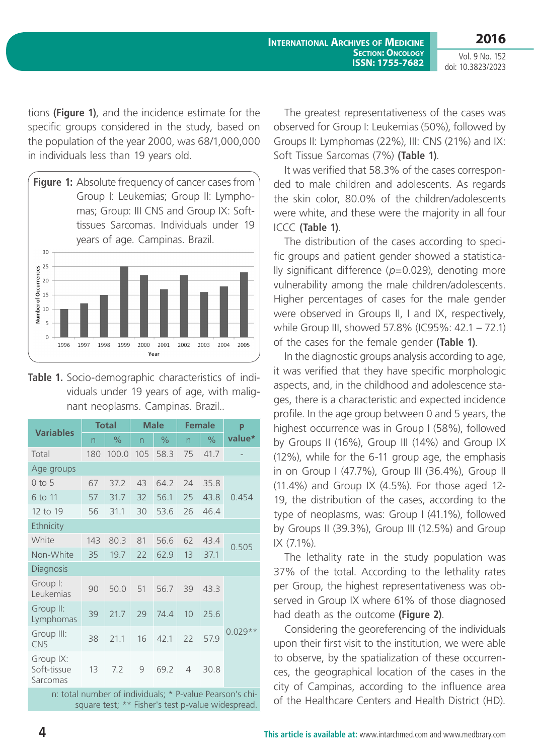**International Archives of Medicine SECTION: ONCOLOGY ISSN: 1755-7682**

**2016** Vol. 9 No. 152 doi: 10.3823/2023

tions **(Figure 1)**, and the incidence estimate for the specific groups considered in the study, based on the population of the year 2000, was 68/1,000,000 in individuals less than 19 years old.



**Table 1.** Socio-demographic characteristics of individuals under 19 years of age, with malignant neoplasms. Campinas. Brazil..

| <b>Variables</b>                     | <b>Total</b> |               | <b>Male</b>             |      | <b>Female</b>  |               | P         |
|--------------------------------------|--------------|---------------|-------------------------|------|----------------|---------------|-----------|
|                                      | n            | $\frac{1}{2}$ | $\overline{\mathsf{n}}$ | $\%$ | n              | $\frac{0}{0}$ | value*    |
| Total                                | 180          | 100.0         | 105                     | 58.3 | 75             | 41.7          |           |
| Age groups                           |              |               |                         |      |                |               |           |
| $0$ to 5                             | 67           | 37.2          | 43                      | 64.2 | 24             | 35.8          |           |
| 6 to 11                              | 57           | 31.7          | 32                      | 56.1 | 25             | 43.8          | 0.454     |
| 12 to 19                             | 56           | 31.1          | 30                      | 53.6 | 26             | 46.4          |           |
| Ethnicity                            |              |               |                         |      |                |               |           |
| White                                | 143          | 80.3          | 81                      | 56.6 | 62             | 43.4          | 0.505     |
| Non-White                            | 35           | 19.7          | 22                      | 62.9 | 13             | 37.1          |           |
| Diagnosis                            |              |               |                         |      |                |               |           |
| Group I:<br>Leukemias                | 90           | 50.0          | 51                      | 56.7 | 39             | 43.3          | $0.029**$ |
| Group II:<br>Lymphomas               | 39           | 21.7          | 29                      | 74.4 | 10             | 25.6          |           |
| Group III:<br><b>CNS</b>             | 38           | 21.1          | 16                      | 42.1 | 22             | 57.9          |           |
| Group IX:<br>Soft-tissue<br>Sarcomas | 13           | 7.2           | 9                       | 69.2 | $\overline{4}$ | 30.8          |           |

n: total number of individuals; \* P-value Pearson's chisquare test; \*\* Fisher's test p-value widespread.

The greatest representativeness of the cases was observed for Group I: Leukemias (50%), followed by Groups II: Lymphomas (22%), III: CNS (21%) and IX: Soft Tissue Sarcomas (7%) **(Table 1)**.

It was verified that 58.3% of the cases corresponded to male children and adolescents. As regards the skin color, 80.0% of the children/adolescents were white, and these were the majority in all four ICCC **(Table 1)**.

The distribution of the cases according to specific groups and patient gender showed a statistically significant difference (*p*=0.029), denoting more vulnerability among the male children/adolescents. Higher percentages of cases for the male gender were observed in Groups II, I and IX, respectively, while Group III, showed 57.8% (IC95%: 42.1 – 72.1) of the cases for the female gender **(Table 1)**.

In the diagnostic groups analysis according to age, it was verified that they have specific morphologic aspects, and, in the childhood and adolescence stages, there is a characteristic and expected incidence profile. In the age group between 0 and 5 years, the highest occurrence was in Group I (58%), followed by Groups II (16%), Group III (14%) and Group IX (12%), while for the 6-11 group age, the emphasis in on Group I (47.7%), Group III (36.4%), Group II (11.4%) and Group IX (4.5%). For those aged 12- 19, the distribution of the cases, according to the type of neoplasms, was: Group I (41.1%), followed by Groups II (39.3%), Group III (12.5%) and Group IX (7.1%).

The lethality rate in the study population was 37% of the total. According to the lethality rates per Group, the highest representativeness was observed in Group IX where 61% of those diagnosed had death as the outcome **(Figure 2)**.

Considering the georeferencing of the individuals upon their first visit to the institution, we were able to observe, by the spatialization of these occurrences, the geographical location of the cases in the city of Campinas, according to the influence area of the Healthcare Centers and Health District (HD).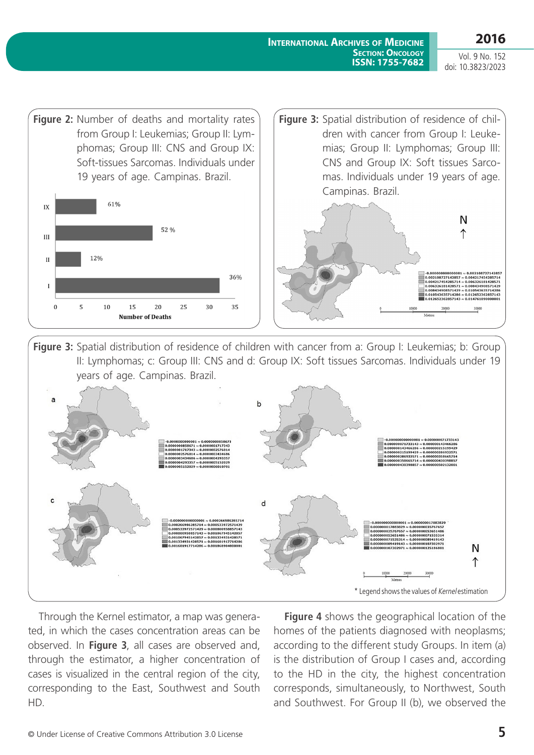**International Archives of Medicine SECTION: ONCOLOGY ISSN: 1755-7682**

Vol. 9 No. 152 doi: 10.3823/2023



Figure 3: Spatial distribution of residence of children with cancer from a: Group I: Leukemias; b: Group II: Lymphomas; c: Group III: CNS and d: Group IX: Soft tissues Sarcomas. Individuals under 19 years of age. Campinas. Brazil.



Through the Kernel estimator, a map was generated, in which the cases concentration areas can be observed. In **Figure 3**, all cases are observed and, through the estimator, a higher concentration of cases is visualized in the central region of the city, corresponding to the East, Southwest and South HD.

**Figure 4** shows the geographical location of the homes of the patients diagnosed with neoplasms; according to the different study Groups. In item (a) is the distribution of Group I cases and, according to the HD in the city, the highest concentration corresponds, simultaneously, to Northwest, South and Southwest. For Group II (b), we observed the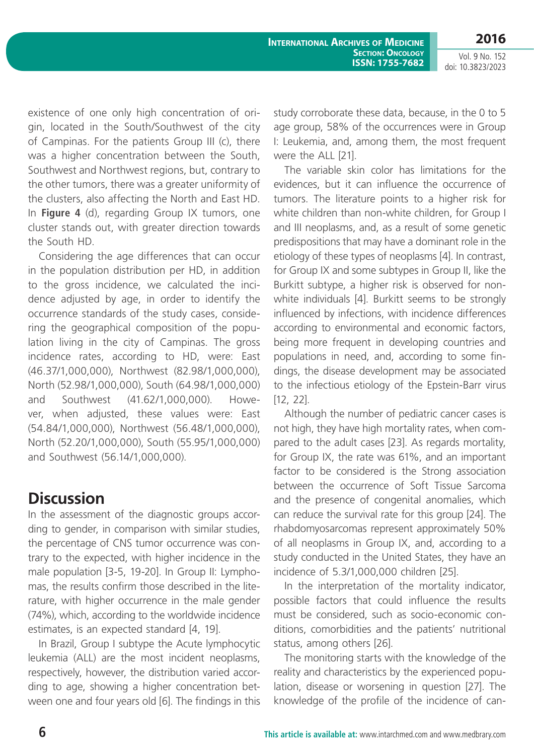**2016**

Vol. 9 No. 152 doi: 10.3823/2023

existence of one only high concentration of origin, located in the South/Southwest of the city of Campinas. For the patients Group III (c), there was a higher concentration between the South, Southwest and Northwest regions, but, contrary to the other tumors, there was a greater uniformity of the clusters, also affecting the North and East HD. In **Figure 4** (d), regarding Group IX tumors, one cluster stands out, with greater direction towards the South HD.

Considering the age differences that can occur in the population distribution per HD, in addition to the gross incidence, we calculated the incidence adjusted by age, in order to identify the occurrence standards of the study cases, considering the geographical composition of the population living in the city of Campinas. The gross incidence rates, according to HD, were: East (46.37/1,000,000), Northwest (82.98/1,000,000), North (52.98/1,000,000), South (64.98/1,000,000) and Southwest (41.62/1,000,000). However, when adjusted, these values were: East (54.84/1,000,000), Northwest (56.48/1,000,000), North (52.20/1,000,000), South (55.95/1,000,000) and Southwest (56.14/1,000,000).

# **Discussion**

In the assessment of the diagnostic groups according to gender, in comparison with similar studies, the percentage of CNS tumor occurrence was contrary to the expected, with higher incidence in the male population [3-5, 19-20]. In Group II: Lymphomas, the results confirm those described in the literature, with higher occurrence in the male gender (74%), which, according to the worldwide incidence estimates, is an expected standard [4, 19].

In Brazil, Group I subtype the Acute lymphocytic leukemia (ALL) are the most incident neoplasms, respectively, however, the distribution varied according to age, showing a higher concentration between one and four years old [6]. The findings in this

study corroborate these data, because, in the 0 to 5 age group, 58% of the occurrences were in Group I: Leukemia, and, among them, the most frequent were the ALL [21].

The variable skin color has limitations for the evidences, but it can influence the occurrence of tumors. The literature points to a higher risk for white children than non-white children, for Group I and III neoplasms, and, as a result of some genetic predispositions that may have a dominant role in the etiology of these types of neoplasms [4]. In contrast, for Group IX and some subtypes in Group II, like the Burkitt subtype, a higher risk is observed for nonwhite individuals [4]. Burkitt seems to be strongly influenced by infections, with incidence differences according to environmental and economic factors, being more frequent in developing countries and populations in need, and, according to some findings, the disease development may be associated to the infectious etiology of the Epstein-Barr virus [12, 22].

Although the number of pediatric cancer cases is not high, they have high mortality rates, when compared to the adult cases [23]. As regards mortality, for Group IX, the rate was 61%, and an important factor to be considered is the Strong association between the occurrence of Soft Tissue Sarcoma and the presence of congenital anomalies, which can reduce the survival rate for this group [24]. The rhabdomyosarcomas represent approximately 50% of all neoplasms in Group IX, and, according to a study conducted in the United States, they have an incidence of 5.3/1,000,000 children [25].

In the interpretation of the mortality indicator, possible factors that could influence the results must be considered, such as socio-economic conditions, comorbidities and the patients' nutritional status, among others [26].

The monitoring starts with the knowledge of the reality and characteristics by the experienced population, disease or worsening in question [27]. The knowledge of the profile of the incidence of can-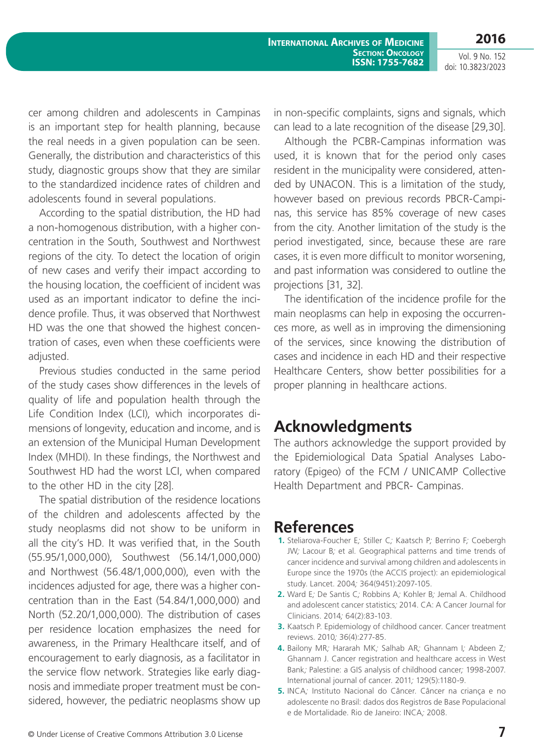Vol. 9 No. 152 doi: 10.3823/2023

cer among children and adolescents in Campinas is an important step for health planning, because the real needs in a given population can be seen. Generally, the distribution and characteristics of this study, diagnostic groups show that they are similar to the standardized incidence rates of children and adolescents found in several populations.

According to the spatial distribution, the HD had a non-homogenous distribution, with a higher concentration in the South, Southwest and Northwest regions of the city. To detect the location of origin of new cases and verify their impact according to the housing location, the coefficient of incident was used as an important indicator to define the incidence profile. Thus, it was observed that Northwest HD was the one that showed the highest concentration of cases, even when these coefficients were adjusted.

Previous studies conducted in the same period of the study cases show differences in the levels of quality of life and population health through the Life Condition Index (LCI), which incorporates dimensions of longevity, education and income, and is an extension of the Municipal Human Development Index (MHDI). In these findings, the Northwest and Southwest HD had the worst LCI, when compared to the other HD in the city [28].

The spatial distribution of the residence locations of the children and adolescents affected by the study neoplasms did not show to be uniform in all the city's HD. It was verified that, in the South (55.95/1,000,000), Southwest (56.14/1,000,000) and Northwest (56.48/1,000,000), even with the incidences adjusted for age, there was a higher concentration than in the East (54.84/1,000,000) and North (52.20/1,000,000). The distribution of cases per residence location emphasizes the need for awareness, in the Primary Healthcare itself, and of encouragement to early diagnosis, as a facilitator in the service flow network. Strategies like early diagnosis and immediate proper treatment must be considered, however, the pediatric neoplasms show up

in non-specific complaints, signs and signals, which can lead to a late recognition of the disease [29,30].

Although the PCBR-Campinas information was used, it is known that for the period only cases resident in the municipality were considered, attended by UNACON. This is a limitation of the study, however based on previous records PBCR-Campinas, this service has 85% coverage of new cases from the city. Another limitation of the study is the period investigated, since, because these are rare cases, it is even more difficult to monitor worsening, and past information was considered to outline the projections [31, 32].

The identification of the incidence profile for the main neoplasms can help in exposing the occurrences more, as well as in improving the dimensioning of the services, since knowing the distribution of cases and incidence in each HD and their respective Healthcare Centers, show better possibilities for a proper planning in healthcare actions.

# **Acknowledgments**

The authors acknowledge the support provided by the Epidemiological Data Spatial Analyses Laboratory (Epigeo) of the FCM / UNICAMP Collective Health Department and PBCR- Campinas.

# **References**

- **1.** Steliarova-Foucher E; Stiller C; Kaatsch P; Berrino F; Coebergh JW*;* Lacour B*;* et al. Geographical patterns and time trends of cancer incidence and survival among children and adolescents in Europe since the 1970s (the ACCIS project): an epidemiological study. Lancet. 2004*;* 364(9451):2097-105.
- **2.** Ward E*;* De Santis C*;* Robbins A*;* Kohler B*;* Jemal A. Childhood and adolescent cancer statistics*;* 2014. CA: A Cancer Journal for Clinicians. 2014*;* 64(2):83-103.
- **3.** Kaatsch P. Epidemiology of childhood cancer. Cancer treatment reviews. 2010*;* 36(4):277-85.
- **4.** Bailony MR*;* Hararah MK*;* Salhab AR*;* Ghannam I*;* Abdeen Z*;*  Ghannam J. Cancer registration and healthcare access in West Bank*;* Palestine: a GIS analysis of childhood cancer*;* 1998-2007. International journal of cancer. 2011*;* 129(5):1180-9.
- **5.** INCA*;* Instituto Nacional do Câncer. Câncer na criança e no adolescente no Brasil: dados dos Registros de Base Populacional e de Mortalidade. Rio de Janeiro: INCA*;* 2008.